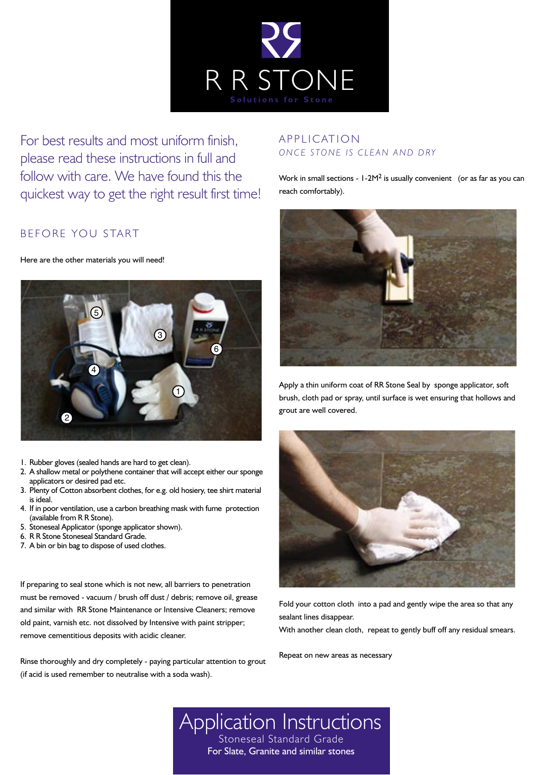

For best results and most uniform finish, please read these instructions in full and follow with care. We have found this the quickest way to get the right result first time!

## BEFORE YOU START

Here are the other materials you will need!



- 1. Rubber gloves (sealed hands are hard to get clean).
- 2. A shallow metal or polythene container that will accept either our sponge applicators or desired pad etc.
- 3. Plenty of Cotton absorbent clothes, for e.g. old hosiery, tee shirt material is ideal.
- 4. If in poor ventilation, use a carbon breathing mask with fume protection (available from R R Stone).
- 5. Stoneseal Applicator (sponge applicator shown).
- 6. R R Stone Stoneseal Standard Grade.
- 7. A bin or bin bag to dispose of used clothes.

If preparing to seal stone which is not new, all barriers to penetration must be removed - vacuum / brush off dust / debris; remove oil, grease and similar with RR Stone Maintenance or Intensive Cleaners; remove old paint, varnish etc. not dissolved by Intensive with paint stripper; remove cementitious deposits with acidic cleaner.

Rinse thoroughly and dry completely - paying particular attention to grout (if acid is used remember to neutralise with a soda wash).

## A P P LICATION *ONCE STONE IS CLEAN AND DRY*

Work in small sections -  $1-2M^2$  is usually convenient (or as far as you can reach comfortably).



Apply a thin uniform coat of RR Stone Seal by sponge applicator, soft brush, cloth pad or spray, until surface is wet ensuring that hollows and grout are well covered.



Fold your cotton cloth into a pad and gently wipe the area so that any sealant lines disappear.

With another clean cloth, repeat to gently buff off any residual smears.

Repeat on new areas as necessary